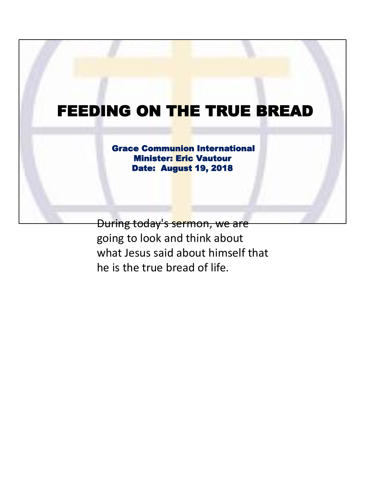## FEEDING ON THE TRUE BREAD

Grace Communion International Minister: Eric Vautour Date: August 19, 2018

During today's sermon, we are going to look and think about what Jesus said about himself that he is the true bread of life.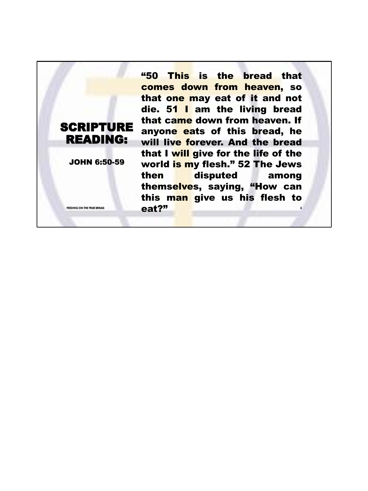**2** "50 This is the bread that comes down from heaven, so that one may eat of it and not die. 51 I am the living bread that came down from heaven. If anyone eats of this bread, he will live forever. And the bread that I will give for the life of the world is my flesh." 52 The Jews then disputed among themselves, saying, "How can this man give us his flesh to FEEDING ON THE TRUE BREAD **FEEDING** ON THE TRUE BREAD

SCRIPTURE READING:

JOHN 6:50-59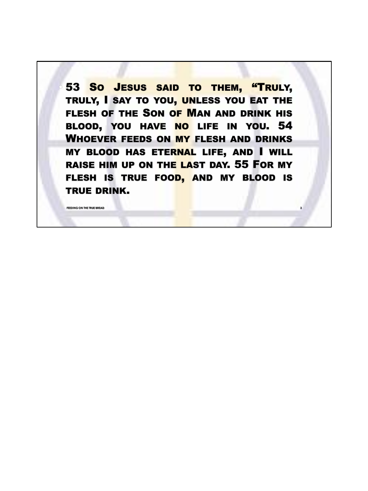53 So JESUS SAID TO THEM, "TRULY, TRULY, I SAY TO YOU, UNLESS YOU EAT THE FLESH OF THE SON OF MAN AND DRINK HIS BLOOD, YOU HAVE NO LIFE IN YOU. 54 WHOEVER FEEDS ON MY FLESH AND DRINKS **MY BLOOD HAS ETERNAL LIFE, AND I WILL** RAISE HIM UP ON THE LAST DAY. 55 FOR MY FLESH IS TRUE FOOD, AND MY BLOOD IS TRUE DRINK.

**3**

**FEEDING ON THE TRUE BREAD**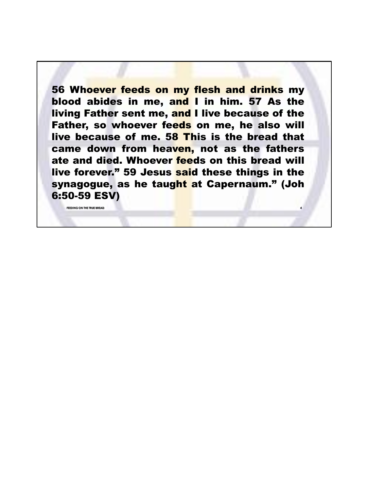56 Whoever feeds on my flesh and drinks my blood abides in me, and I in him. 57 As the living Father sent me, and I live because of the Father, so whoever feeds on me, he also will live because of me. 58 This is the bread that came down from heaven, not as the fathers ate and died. Whoever feeds on this bread will live forever." 59 Jesus said these things in the synagogue, as he taught at Capernaum." (Joh 6:50-59 ESV)

**4**

**FEEDING ON THE TRUE BREAD**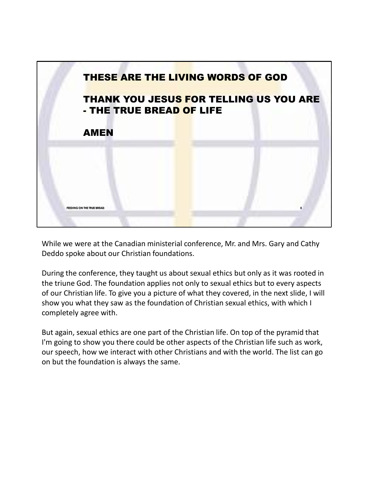

While we were at the Canadian ministerial conference, Mr. and Mrs. Gary and Cathy Deddo spoke about our Christian foundations.

During the conference, they taught us about sexual ethics but only as it was rooted in the triune God. The foundation applies not only to sexual ethics but to every aspects of our Christian life. To give you a picture of what they covered, in the next slide, I will show you what they saw as the foundation of Christian sexual ethics, with which I completely agree with.

But again, sexual ethics are one part of the Christian life. On top of the pyramid that I'm going to show you there could be other aspects of the Christian life such as work, our speech, how we interact with other Christians and with the world. The list can go on but the foundation is always the same.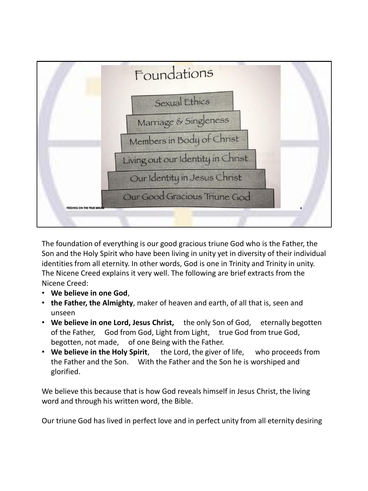

The foundation of everything is our good gracious triune God who is the Father, the Son and the Holy Spirit who have been living in unity yet in diversity of their individual identities from all eternity. In other words, God is one in Trinity and Trinity in unity. The Nicene Creed explains it very well. The following are brief extracts from the Nicene Creed:

- **We believe in one God**,
- **the Father, the Almighty**, maker of heaven and earth, of all that is, seen and unseen
- **We believe in one Lord, Jesus Christ,** the only Son of God, eternally begotten of the Father, God from God, Light from Light, true God from true God, begotten, not made, of one Being with the Father.
- **We believe in the Holy Spirit**, the Lord, the giver of life, who proceeds from the Father and the Son. With the Father and the Son he is worshiped and glorified.

We believe this because that is how God reveals himself in Jesus Christ, the living word and through his written word, the Bible.

Our triune God has lived in perfect love and in perfect unity from all eternity desiring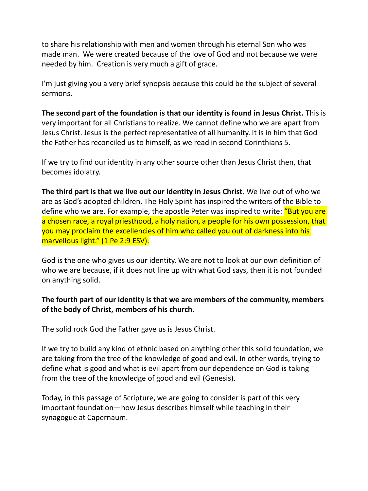to share his relationship with men and women through his eternal Son who was made man. We were created because of the love of God and not because we were needed by him. Creation is very much a gift of grace.

I'm just giving you a very brief synopsis because this could be the subject of several sermons.

**The second part of the foundation is that our identity is found in Jesus Christ.** This is very important for all Christians to realize. We cannot define who we are apart from Jesus Christ. Jesus is the perfect representative of all humanity. It is in him that God the Father has reconciled us to himself, as we read in second Corinthians 5.

If we try to find our identity in any other source other than Jesus Christ then, that becomes idolatry.

**The third part is that we live out our identity in Jesus Christ**. We live out of who we are as God's adopted children. The Holy Spirit has inspired the writers of the Bible to define who we are. For example, the apostle Peter was inspired to write: "But you are a chosen race, a royal priesthood, a holy nation, a people for his own possession, that you may proclaim the excellencies of him who called you out of darkness into his marvellous light." (1 Pe 2:9 ESV).

God is the one who gives us our identity. We are not to look at our own definition of who we are because, if it does not line up with what God says, then it is not founded on anything solid.

## **The fourth part of our identity is that we are members of the community, members of the body of Christ, members of his church.**

The solid rock God the Father gave us is Jesus Christ.

If we try to build any kind of ethnic based on anything other this solid foundation, we are taking from the tree of the knowledge of good and evil. In other words, trying to define what is good and what is evil apart from our dependence on God is taking from the tree of the knowledge of good and evil (Genesis).

Today, in this passage of Scripture, we are going to consider is part of this very important foundation—how Jesus describes himself while teaching in their synagogue at Capernaum.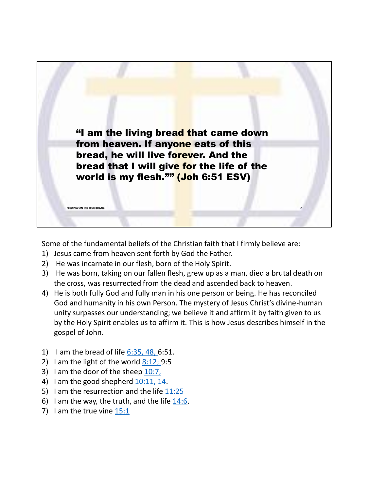

Some of the fundamental beliefs of the Christian faith that I firmly believe are:

- 1) Jesus came from heaven sent forth by God the Father.
- 2) He was incarnate in our flesh, born of the Holy Spirit.
- 3) He was born, taking on our fallen flesh, grew up as a man, died a brutal death on the cross, was resurrected from the dead and ascended back to heaven.
- 4) He is both fully God and fully man in his one person or being. He has reconciled God and humanity in his own Person. The mystery of Jesus Christ's divine-human unity surpasses our understanding; we believe it and affirm it by faith given to us by the Holy Spirit enables us to affirm it. This is how Jesus describes himself in the gospel of John.
- 1) I am the bread of life  $6:35, 48, 6:51$ .
- 2) I am the light of the world  $8:12$ ; 9:5
- 3) I am the door of the sheep 10:7,
- 4) I am the good shepherd 10:11, 14.
- 5) I am the resurrection and the life  $11:25$
- 6) I am the way, the truth, and the life  $14:6$ .
- 7) I am the true vine 15:1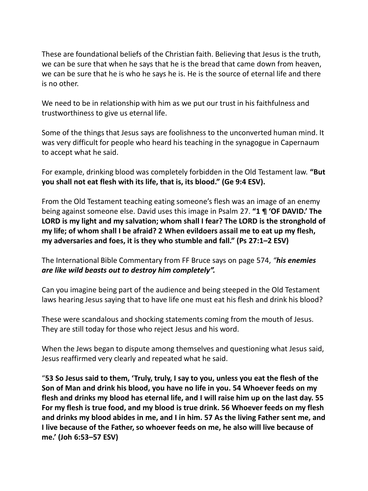These are foundational beliefs of the Christian faith. Believing that Jesus is the truth, we can be sure that when he says that he is the bread that came down from heaven, we can be sure that he is who he says he is. He is the source of eternal life and there is no other.

We need to be in relationship with him as we put our trust in his faithfulness and trustworthiness to give us eternal life.

Some of the things that Jesus says are foolishness to the unconverted human mind. It was very difficult for people who heard his teaching in the synagogue in Capernaum to accept what he said.

For example, drinking blood was completely forbidden in the Old Testament law. **"But you shall not eat flesh with its life, that is, its blood." (Ge 9:4 ESV).**

From the Old Testament teaching eating someone's flesh was an image of an enemy being against someone else. David uses this image in Psalm 27. **"1 ¶ 'OF DAVID.' The LORD is my light and my salvation; whom shall I fear? The LORD is the stronghold of my life; of whom shall I be afraid? 2 When evildoers assail me to eat up my flesh, my adversaries and foes, it is they who stumble and fall." (Ps 27:1–2 ESV)**

The International Bible Commentary from FF Bruce says on page 574, *"his enemies are like wild beasts out to destroy him completely".*

Can you imagine being part of the audience and being steeped in the Old Testament laws hearing Jesus saying that to have life one must eat his flesh and drink his blood?

These were scandalous and shocking statements coming from the mouth of Jesus. They are still today for those who reject Jesus and his word.

When the Jews began to dispute among themselves and questioning what Jesus said, Jesus reaffirmed very clearly and repeated what he said.

"**53 So Jesus said to them, 'Truly, truly, I say to you, unless you eat the flesh of the Son of Man and drink his blood, you have no life in you. 54 Whoever feeds on my flesh and drinks my blood has eternal life, and I will raise him up on the last day. 55 For my flesh is true food, and my blood is true drink. 56 Whoever feeds on my flesh and drinks my blood abides in me, and I in him. 57 As the living Father sent me, and I live because of the Father, so whoever feeds on me, he also will live because of me.' (Joh 6:53–57 ESV)**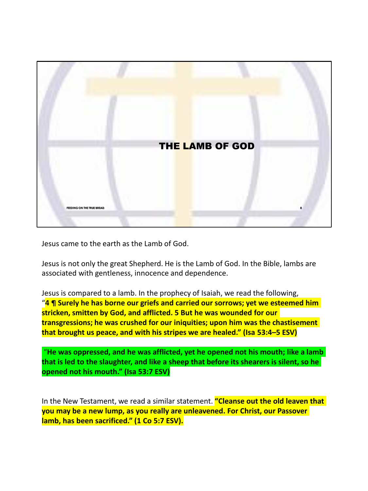

Jesus came to the earth as the Lamb of God.

Jesus is not only the great Shepherd. He is the Lamb of God. In the Bible, lambs are associated with gentleness, innocence and dependence.

Jesus is compared to a lamb. In the prophecy of Isaiah, we read the following, "**4 ¶ Surely he has borne our griefs and carried our sorrows; yet we esteemed him stricken, smitten by God, and afflicted. 5 But he was wounded for our transgressions; he was crushed for our iniquities; upon him was the chastisement that brought us peace, and with his stripes we are healed." (Isa 53:4–5 ESV)**

"**He was oppressed, and he was afflicted, yet he opened not his mouth; like a lamb that is led to the slaughter, and like a sheep that before its shearers is silent, so he opened not his mouth." (Isa 53:7 ESV)**

In the New Testament, we read a similar statement. **"Cleanse out the old leaven that you may be a new lump, as you really are unleavened. For Christ, our Passover lamb, has been sacrificed." (1 Co 5:7 ESV).**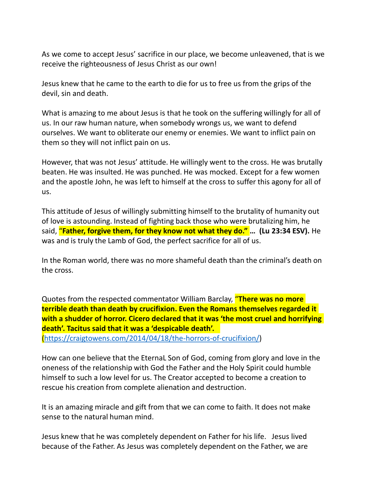As we come to accept Jesus' sacrifice in our place, we become unleavened, that is we receive the righteousness of Jesus Christ as our own!

Jesus knew that he came to the earth to die for us to free us from the grips of the devil, sin and death.

What is amazing to me about Jesus is that he took on the suffering willingly for all of us. In our raw human nature, when somebody wrongs us, we want to defend ourselves. We want to obliterate our enemy or enemies. We want to inflict pain on them so they will not inflict pain on us.

However, that was not Jesus' attitude. He willingly went to the cross. He was brutally beaten. He was insulted. He was punched. He was mocked. Except for a few women and the apostle John, he was left to himself at the cross to suffer this agony for all of us.

This attitude of Jesus of willingly submitting himself to the brutality of humanity out of love is astounding. Instead of fighting back those who were brutalizing him, he said, "**Father, forgive them, for they know not what they do." … (Lu 23:34 ESV).** He was and is truly the Lamb of God, the perfect sacrifice for all of us.

In the Roman world, there was no more shameful death than the criminal's death on the cross.

Quotes from the respected commentator William Barclay, "**There was no more terrible death than death by crucifixion. Even the Romans themselves regarded it with a shudder of horror. Cicero declared that it was 'the most cruel and horrifying death'. Tacitus said that it was a 'despicable death'.** 

(https://craigtowens.com/2014/04/18/the-horrors-of-crucifixion/)

How can one believe that the EternaL Son of God, coming from glory and love in the oneness of the relationship with God the Father and the Holy Spirit could humble himself to such a low level for us. The Creator accepted to become a creation to rescue his creation from complete alienation and destruction.

It is an amazing miracle and gift from that we can come to faith. It does not make sense to the natural human mind.

Jesus knew that he was completely dependent on Father for his life. Jesus lived because of the Father. As Jesus was completely dependent on the Father, we are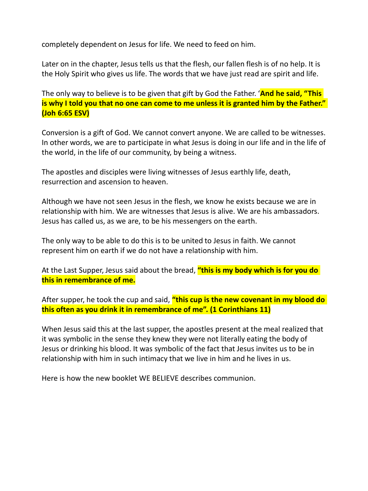completely dependent on Jesus for life. We need to feed on him.

Later on in the chapter, Jesus tells us that the flesh, our fallen flesh is of no help. It is the Holy Spirit who gives us life. The words that we have just read are spirit and life.

The only way to believe is to be given that gift by God the Father. '**And he said, "This is why I told you that no one can come to me unless it is granted him by the Father." (Joh 6:65 ESV)**

Conversion is a gift of God. We cannot convert anyone. We are called to be witnesses. In other words, we are to participate in what Jesus is doing in our life and in the life of the world, in the life of our community, by being a witness.

The apostles and disciples were living witnesses of Jesus earthly life, death, resurrection and ascension to heaven.

Although we have not seen Jesus in the flesh, we know he exists because we are in relationship with him. We are witnesses that Jesus is alive. We are his ambassadors. Jesus has called us, as we are, to be his messengers on the earth.

The only way to be able to do this is to be united to Jesus in faith. We cannot represent him on earth if we do not have a relationship with him.

At the Last Supper, Jesus said about the bread, **"this is my body which is for you do this in remembrance of me.**

After supper, he took the cup and said, **"this cup is the new covenant in my blood do this often as you drink it in remembrance of me". (1 Corinthians 11)**

When Jesus said this at the last supper, the apostles present at the meal realized that it was symbolic in the sense they knew they were not literally eating the body of Jesus or drinking his blood. It was symbolic of the fact that Jesus invites us to be in relationship with him in such intimacy that we live in him and he lives in us.

Here is how the new booklet WE BELIEVE describes communion.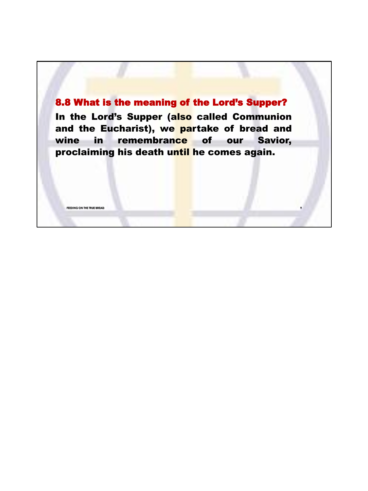## 8.8 What is the meaning of the Lord's Supper?

In the Lord's Supper (also called Communion and the Eucharist), we partake of bread and wine in remembrance of our Savior, proclaiming his death until he comes again.

**FEEDING ON THE TRUE BREAD**

**9**